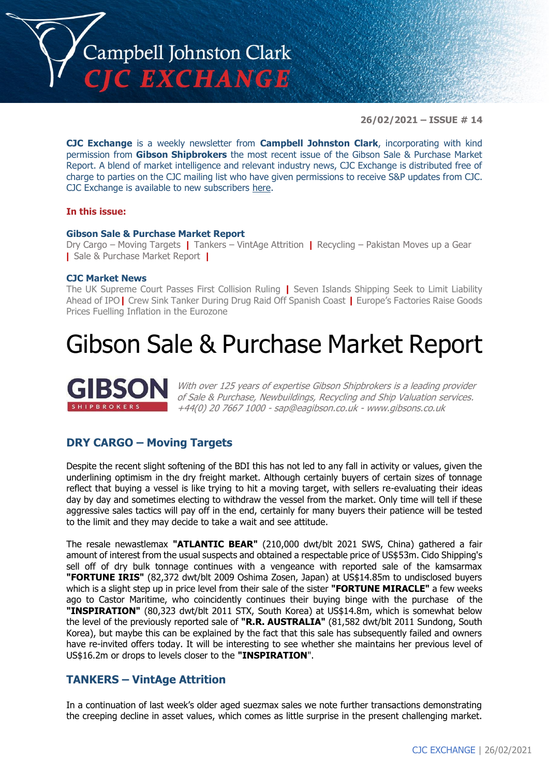

**26/02/2021 – ISSUE # 14**

**CJC Exchange** is a weekly newsletter from **Campbell Johnston Clark**, incorporating with kind permission from **Gibson Shipbrokers** the most recent issue of the Gibson Sale & Purchase Market Report. A blend of market intelligence and relevant industry news, CJC Exchange is distributed free of charge to parties on the CJC mailing list who have given permissions to receive S&P updates from CJC. CJC Exchange is available to new subscribers [here.](mailto:jamesc@cjclaw.com?subject=CJC%20Exchange%20sign-up)

### **In this issue:**

### **Gibson Sale & Purchase Market Report**

Dry Cargo – Moving Targets **|** Tankers – VintAge Attrition **|** Recycling – Pakistan Moves up a Gear **|** Sale & Purchase Market Report **|**

### **CJC Market News**

The UK Supreme Court Passes First Collision Ruling **|** Seven Islands Shipping Seek to Limit Liability Ahead of IPO**|** Crew Sink Tanker During Drug Raid Off Spanish Coast **|** Europe's Factories Raise Goods Prices Fuelling Inflation in the Eurozone

# Gibson Sale & Purchase Market Report



With over 125 years of expertise Gibson Shipbrokers is a leading provider of Sale & Purchase, Newbuildings, Recycling and Ship Valuation services. +44(0) 20 7667 1000 - [sap@eagibson.co.uk](mailto:sap@eagibson.co.uk) - [www.gibsons.co.uk](https://protect-eu.mimecast.com/s/VO6nCGZzRS60KqcK1jQh/)

# **DRY CARGO – Moving Targets**

Despite the recent slight softening of the BDI this has not led to any fall in activity or values, given the underlining optimism in the dry freight market. Although certainly buyers of certain sizes of tonnage reflect that buying a vessel is like trying to hit a moving target, with sellers re-evaluating their ideas day by day and sometimes electing to withdraw the vessel from the market. Only time will tell if these aggressive sales tactics will pay off in the end, certainly for many buyers their patience will be tested to the limit and they may decide to take a wait and see attitude.

The resale newastlemax **"ATLANTIC BEAR"** (210,000 dwt/blt 2021 SWS, China) gathered a fair amount of interest from the usual suspects and obtained a respectable price of US\$53m. Cido Shipping's sell off of dry bulk tonnage continues with a vengeance with reported sale of the kamsarmax **"FORTUNE IRIS"** (82,372 dwt/blt 2009 Oshima Zosen, Japan) at US\$14.85m to undisclosed buyers which is a slight step up in price level from their sale of the sister **"FORTUNE MIRACLE"** a few weeks ago to Castor Maritime, who coincidently continues their buying binge with the purchase of the **"INSPIRATION"** (80,323 dwt/blt 2011 STX, South Korea) at US\$14.8m, which is somewhat below the level of the previously reported sale of **"R.R. AUSTRALIA"** (81,582 dwt/blt 2011 Sundong, South Korea), but maybe this can be explained by the fact that this sale has subsequently failed and owners have re-invited offers today. It will be interesting to see whether she maintains her previous level of US\$16.2m or drops to levels closer to the **"INSPIRATION**".

# **TANKERS – VintAge Attrition**

In a continuation of last week's older aged suezmax sales we note further transactions demonstrating the creeping decline in asset values, which comes as little surprise in the present challenging market.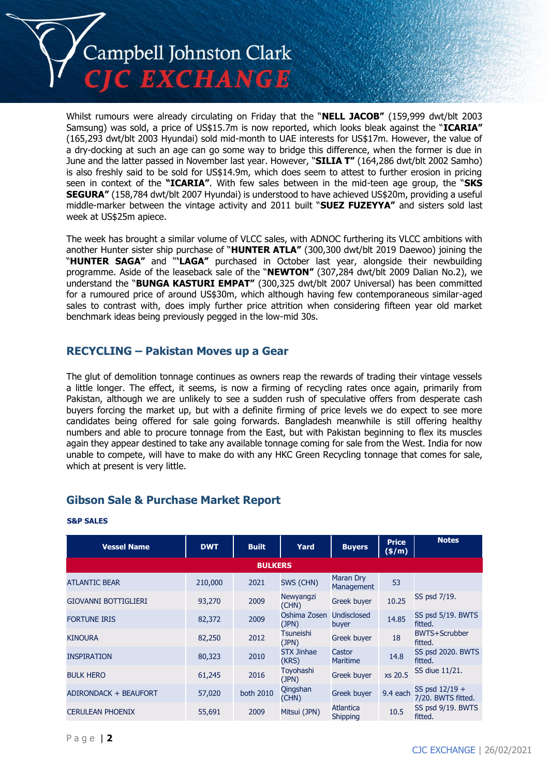

Whilst rumours were already circulating on Friday that the "**NELL JACOB"** (159,999 dwt/blt 2003 Samsung) was sold, a price of US\$15.7m is now reported, which looks bleak against the "**ICARIA"**  (165,293 dwt/blt 2003 Hyundai) sold mid-month to UAE interests for US\$17m. However, the value of a dry-docking at such an age can go some way to bridge this difference, when the former is due in June and the latter passed in November last year. However, "**SILIA T"** (164,286 dwt/blt 2002 Samho) is also freshly said to be sold for US\$14.9m, which does seem to attest to further erosion in pricing seen in context of the **"ICARIA"**. With few sales between in the mid-teen age group, the "**SKS SEGURA"** (158,784 dwt/blt 2007 Hyundai) is understood to have achieved US\$20m, providing a useful middle-marker between the vintage activity and 2011 built "**SUEZ FUZEYYA"** and sisters sold last week at US\$25m apiece.

The week has brought a similar volume of VLCC sales, with ADNOC furthering its VLCC ambitions with another Hunter sister ship purchase of "**HUNTER ATLA"** (300,300 dwt/blt 2019 Daewoo) joining the "**HUNTER SAGA"** and "**'LAGA"** purchased in October last year, alongside their newbuilding programme. Aside of the leaseback sale of the "**NEWTON"** (307,284 dwt/blt 2009 Dalian No.2), we understand the "**BUNGA KASTURI EMPAT"** (300,325 dwt/blt 2007 Universal) has been committed for a rumoured price of around US\$30m, which although having few contemporaneous similar-aged sales to contrast with, does imply further price attrition when considering fifteen year old market benchmark ideas being previously pegged in the low-mid 30s.

# **RECYCLING – Pakistan Moves up a Gear**

The glut of demolition tonnage continues as owners reap the rewards of trading their vintage vessels a little longer. The effect, it seems, is now a firming of recycling rates once again, primarily from Pakistan, although we are unlikely to see a sudden rush of speculative offers from desperate cash buyers forcing the market up, but with a definite firming of price levels we do expect to see more candidates being offered for sale going forwards. Bangladesh meanwhile is still offering healthy numbers and able to procure tonnage from the East, but with Pakistan beginning to flex its muscles again they appear destined to take any available tonnage coming for sale from the West. India for now unable to compete, will have to make do with any HKC Green Recycling tonnage that comes for sale, which at present is very little.

# **Gibson Sale & Purchase Market Report**

| <b>Vessel Name</b>          | <b>DWT</b> | <b>Built</b> | Yard                       | <b>Buyers</b>                  | <b>Price</b><br>$($ \$/m $)$ | <b>Notes</b>                           |  |
|-----------------------------|------------|--------------|----------------------------|--------------------------------|------------------------------|----------------------------------------|--|
| <b>BULKERS</b>              |            |              |                            |                                |                              |                                        |  |
| <b>ATLANTIC BEAR</b>        | 210,000    | 2021         | SWS (CHN)                  | Maran Dry<br><b>Management</b> | 53                           |                                        |  |
| <b>GIOVANNI BOTTIGLIERI</b> | 93,270     | 2009         | Newyangzi<br>(CHN)         | <b>Greek buyer</b>             | 10.25                        | SS psd 7/19.                           |  |
| <b>FORTUNE IRIS</b>         | 82,372     | 2009         | Oshima Zosen<br>(JPN)      | Undisclosed<br>buyer           | 14.85                        | SS psd 5/19. BWTS<br>fitted.           |  |
| <b>KINOURA</b>              | 82,250     | 2012         | <b>Tsuneishi</b><br>(JPN)  | <b>Greek buyer</b>             | 18                           | <b>BWTS+Scrubber</b><br>fitted.        |  |
| <b>INSPIRATION</b>          | 80,323     | 2010         | <b>STX Jinhae</b><br>(KRS) | Castor<br><b>Maritime</b>      | 14.8                         | SS psd 2020. BWTS<br>fitted.           |  |
| <b>BULK HERO</b>            | 61,245     | 2016         | Toyohashi<br>(JPN)         | Greek buyer                    | xs 20.5                      | SS diue 11/21.                         |  |
| ADIRONDACK + BEAUFORT       | 57,020     | both 2010    | Qingshan<br>(CHN)          | <b>Greek buyer</b>             | 9.4 each                     | SS psd $12/19 +$<br>7/20. BWTS fitted. |  |
| <b>CERULEAN PHOENIX</b>     | 55,691     | 2009         | Mitsui (JPN)               | Atlantica<br><b>Shipping</b>   | 10.5                         | SS psd 9/19. BWTS<br>fitted.           |  |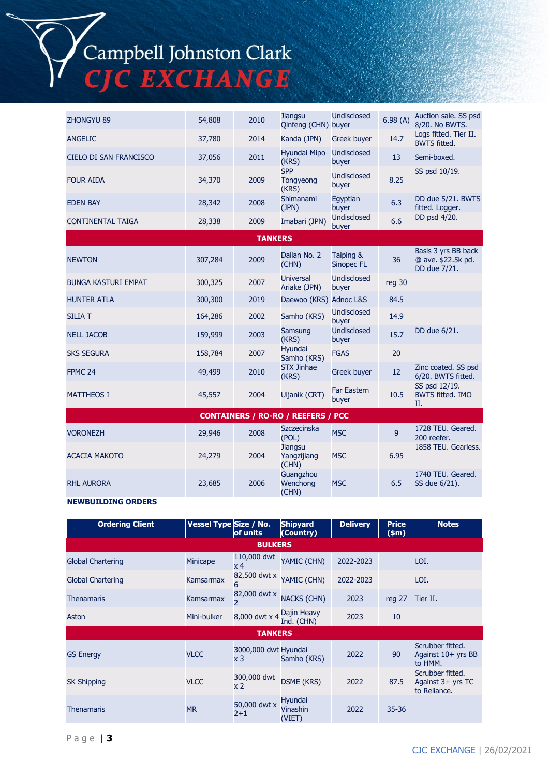Campbell Johnston Clark<br>CJC EXCHANGE

| <b>ZHONGYU 89</b>                         | 54,808  | 2010           | <b>Jiangsu</b><br>Qinfeng (CHN) buyer  | <b>Undisclosed</b>             | 6.98(A) | Auction sale. SS psd<br>8/20. No BWTS.                    |  |  |
|-------------------------------------------|---------|----------------|----------------------------------------|--------------------------------|---------|-----------------------------------------------------------|--|--|
| <b>ANGELIC</b>                            | 37,780  | 2014           | Kanda (JPN)                            | Greek buyer                    | 14.7    | Logs fitted. Tier II.<br><b>BWTS fitted.</b>              |  |  |
| <b>CIELO DI SAN FRANCISCO</b>             | 37,056  | 2011           | Hyundai Mipo<br>(KRS)                  | <b>Undisclosed</b><br>buyer    | 13      | Semi-boxed.                                               |  |  |
| <b>FOUR AIDA</b>                          | 34,370  | 2009           | <b>SPP</b><br>Tongyeong<br>(KRS)       | <b>Undisclosed</b><br>buyer    | 8.25    | SS psd 10/19.                                             |  |  |
| <b>EDEN BAY</b>                           | 28,342  | 2008           | Shimanami<br>(JPN)                     | Eqyptian<br>buyer              | 6.3     | DD due 5/21. BWTS<br>fitted. Logger.                      |  |  |
| <b>CONTINENTAL TAIGA</b>                  | 28,338  | 2009           | Imabari (JPN)                          | <b>Undisclosed</b><br>buyer    | 6.6     | DD psd 4/20.                                              |  |  |
|                                           |         | <b>TANKERS</b> |                                        |                                |         |                                                           |  |  |
| <b>NEWTON</b>                             | 307,284 | 2009           | Dalian No. 2<br>(CHN)                  | Taiping &<br><b>Sinopec FL</b> | 36      | Basis 3 yrs BB back<br>@ ave. \$22.5k pd.<br>DD due 7/21. |  |  |
| <b>BUNGA KASTURI EMPAT</b>                | 300,325 | 2007           | <b>Universal</b><br>Ariake (JPN)       | <b>Undisclosed</b><br>buyer    | reg 30  |                                                           |  |  |
| <b>HUNTER ATLA</b>                        | 300,300 | 2019           | Daewoo (KRS) Adnoc L&S                 |                                | 84.5    |                                                           |  |  |
| <b>SILIA T</b>                            | 164,286 | 2002           | Samho (KRS)                            | <b>Undisclosed</b><br>buyer    | 14.9    |                                                           |  |  |
| <b>NELL JACOB</b>                         | 159,999 | 2003           | Samsung<br>(KRS)                       | <b>Undisclosed</b><br>buyer    | 15.7    | DD due 6/21.                                              |  |  |
| <b>SKS SEGURA</b>                         | 158,784 | 2007           | Hyundai<br>Samho (KRS)                 | <b>FGAS</b>                    | 20      |                                                           |  |  |
| FPMC <sub>24</sub>                        | 49,499  | 2010           | <b>STX Jinhae</b><br>(KRS)             | Greek buyer                    | 12      | Zinc coated. SS psd<br>6/20. BWTS fitted.                 |  |  |
| <b>MATTHEOS I</b>                         | 45,557  | 2004           | Uljanik (CRT)                          | <b>Far Eastern</b><br>buyer    | 10.5    | SS psd 12/19.<br><b>BWTS fitted. IMO</b><br>Π.            |  |  |
| <b>CONTAINERS / RO-RO / REEFERS / PCC</b> |         |                |                                        |                                |         |                                                           |  |  |
| <b>VORONEZH</b>                           | 29,946  | 2008           | <b>Szczecinska</b><br>(POL)            | <b>MSC</b>                     | 9       | 1728 TEU. Geared.<br>200 reefer.                          |  |  |
| <b>ACACIA MAKOTO</b>                      | 24,279  | 2004           | <b>Jiangsu</b><br>Yangzijiang<br>(CHN) | <b>MSC</b>                     | 6.95    | 1858 TEU. Gearless.                                       |  |  |
| <b>RHL AURORA</b>                         | 23,685  | 2006           | Guangzhou<br>Wenchong<br>(CHN)         | <b>MSC</b>                     | 6.5     | 1740 TEU. Geared.<br>SS due 6/21).                        |  |  |

### **NEWBUILDING ORDERS**

| <b>Ordering Client</b>   | Vessel Type Size / No. | of units                      | <b>Shipyard</b><br>(Country)  | <b>Delivery</b> | <b>Price</b><br>\$m\$ | <b>Notes</b>                                            |  |
|--------------------------|------------------------|-------------------------------|-------------------------------|-----------------|-----------------------|---------------------------------------------------------|--|
| <b>BULKERS</b>           |                        |                               |                               |                 |                       |                                                         |  |
| <b>Global Chartering</b> | <b>Minicape</b>        | 110,000 dwt<br>x <sub>4</sub> | YAMIC (CHN)                   | 2022-2023       |                       | LOI.                                                    |  |
| <b>Global Chartering</b> | Kamsarmax              | 82,500 dwt x<br>6             | YAMIC (CHN)                   | 2022-2023       |                       | LOI.                                                    |  |
| <b>Thenamaris</b>        | Kamsarmax              | $\overline{2}$                | 82,000 dwt x NACKS (CHN)      | 2023            | reg 27                | Tier II.                                                |  |
| Aston                    | Mini-bulker            | 8,000 dwt x 4                 | Dajin Heavy<br>Ind. (CHN)     | 2023            | 10                    |                                                         |  |
| <b>TANKERS</b>           |                        |                               |                               |                 |                       |                                                         |  |
| <b>GS Energy</b>         | <b>VLCC</b>            | 3000,000 dwt Hyundai<br>x 3   | Samho (KRS)                   | 2022            | 90                    | Scrubber fitted.<br>Against $10+$ yrs BB<br>to HMM.     |  |
| <b>SK Shipping</b>       | <b>VLCC</b>            | 300,000 dwt<br>x <sub>2</sub> | <b>DSME (KRS)</b>             | 2022            | 87.5                  | Scrubber fitted.<br>Against $3+$ yrs TC<br>to Reliance. |  |
| <b>Thenamaris</b>        | <b>MR</b>              | 50,000 dwt x<br>$2 + 1$       | Hyundai<br>Vinashin<br>(VIET) | 2022            | $35 - 36$             |                                                         |  |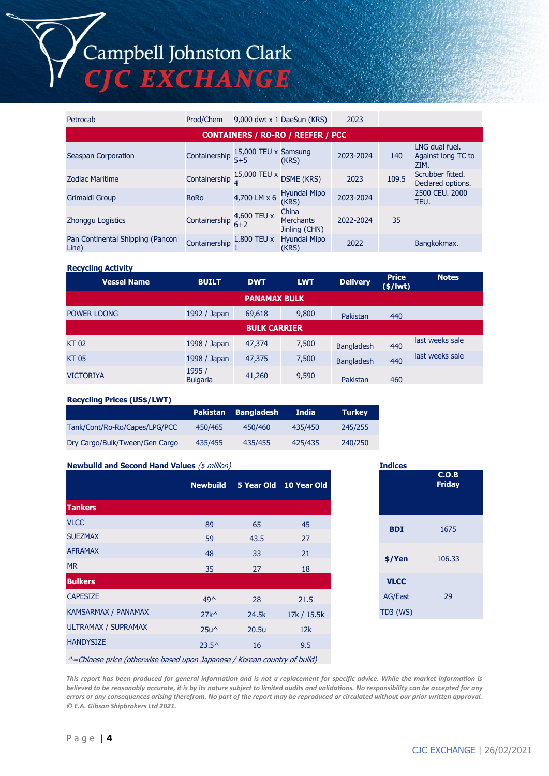# Campbell Johnston Clark **EXCHANGE**

Petrocab Prod/Chem 9,000 dwt x 1 DaeSun (KRS) 2023 **CONTAINERS / RO-RO / REEFER / PCC** Seaspan Corporation **Containership**  $5 + 5$ 15,000 TEU x Samsung (KRS) 2023-2024 <sup>140</sup> LNG dual fuel. Against long TC to ZIM.<br>Scrubber fitted.  $Z$ odiac Maritime  $Z_{\text{2023}}$  Containership  $\frac{15,000 \text{ TEU x}}{4}$  DSME (KRS)  $Z_{\text{2023}}$   $Z_{\text{2023}}$   $Z_{\text{2025}}$   $Z_{\text{2024}}$   $Z_{\text{2025}}$   $Z_{\text{2025}}$   $Z_{\text{2026}}$   $Z_{\text{2027}}$   $Z_{\text{2028}}$   $Z_{\text{2028}}$   $Z_{\text{2028}}$  Declared options. Grimaldi Group RoRo 4,700 LM x 6 Hyundai Mipo 2023-2024 2500 CEU. 2000 TEU. Zhonggu Logistics Containership 4,600 TEU x  $6+2$ China **Merchants** Jinling (CHN) 2022-2024 35 Pan Continental Shipping (Pancon Containership 1,800 TEU x<br>Line) 1 Hyundai Mipo (KRS) <sup>2022</sup> Bangkokmax.

#### **Recycling Activity**

| <b>Vessel Name</b>  | <b>BUILT</b>              | <b>DWT</b> | <b>LWT</b> | <b>Delivery</b>   | <b>Price</b><br>$(*)$ lwt) | <b>Notes</b>    |  |  |
|---------------------|---------------------------|------------|------------|-------------------|----------------------------|-----------------|--|--|
| <b>PANAMAX BULK</b> |                           |            |            |                   |                            |                 |  |  |
| POWER LOONG         | 1992 / Japan              | 69,618     | 9,800      | Pakistan          | 440                        |                 |  |  |
| <b>BULK CARRIER</b> |                           |            |            |                   |                            |                 |  |  |
| <b>KT02</b>         | 1998 / Japan              | 47,374     | 7,500      | <b>Bangladesh</b> | 440                        | last weeks sale |  |  |
| <b>KT05</b>         | 1998 / Japan              | 47,375     | 7,500      | <b>Bangladesh</b> | 440                        | last weeks sale |  |  |
| <b>VICTORIYA</b>    | 1995 /<br><b>Bulgaria</b> | 41,260     | 9,590      | Pakistan          | 460                        |                 |  |  |

#### **Recycling Prices (US\$/LWT)**

|                                |         | Pakistan Bangladesh | <b>India</b> | <b>Turkey</b> |
|--------------------------------|---------|---------------------|--------------|---------------|
| Tank/Cont/Ro-Ro/Capes/LPG/PCC  | 450/465 | 450/460             | 435/450      | 245/255       |
| Dry Cargo/Bulk/Tween/Gen Cargo | 435/455 | 435/455             | 425/435      | 240/250       |

### **Newbuild and Second Hand Values** (\$ million)

|                            | <b>Newbuild</b> |       | 5 Year Old 10 Year Old |
|----------------------------|-----------------|-------|------------------------|
| <b>Tankers</b>             |                 |       |                        |
| <b>VLCC</b>                | 89              | 65    | 45                     |
| <b>SUEZMAX</b>             | 59              | 43.5  | 27                     |
| <b>AFRAMAX</b>             | 48              | 33    | 21                     |
| <b>MR</b>                  | 35              | 27    | 18                     |
| <b>Bulkers</b>             |                 |       |                        |
| <b>CAPESIZE</b>            | $49^{\wedge}$   | 28    | 21.5                   |
| <b>KAMSARMAX / PANAMAX</b> | $27k^{\wedge}$  | 24.5k | 17k / 15.5k            |
| <b>ULTRAMAX / SUPRAMAX</b> | $25u^{\wedge}$  | 20.5u | 12k                    |
| <b>HANDYSIZE</b>           | $23.5^{\circ}$  | 16    | 9.5                    |
|                            |                 |       |                        |

| <b>Indices</b> | C.O.B<br><b>Friday</b> |  |
|----------------|------------------------|--|
|                |                        |  |
| <b>BDI</b>     | 1675                   |  |
| \$/Yen         | 106.33                 |  |
| <b>VLCC</b>    |                        |  |
| <b>AG/East</b> | 29                     |  |
| TD3 (WS)       |                        |  |

^=Chinese price (otherwise based upon Japanese / Korean country of build)

*This report has been produced for general information and is not a replacement for specific advice. While the market information is believed to be reasonably accurate, it is by its nature subject to limited audits and validations. No responsibility can be accepted for any errors or any consequences arising therefrom. No part of the report may be reproduced or circulated without our prior written approval. © E.A. Gibson Shipbrokers Ltd 2021.*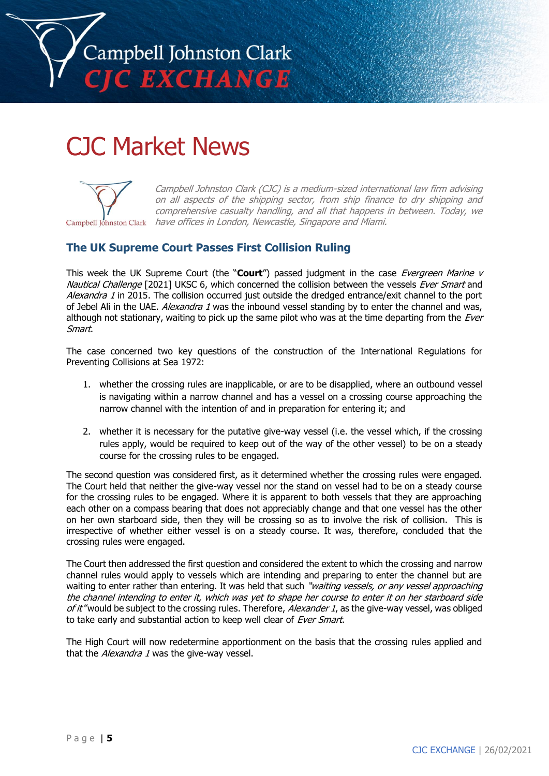

# CJC Market News



Campbell Johnston Clark (CJC) is a medium-sized international law firm advising on all aspects of the shipping sector, from ship finance to dry shipping and comprehensive casualty handling, and all that happens in between. Today, we Campbell Johnston Clark have offices in London, Newcastle, Singapore and Miami.

# **The UK Supreme Court Passes First Collision Ruling**

This week the UK Supreme Court (the "**Court**") passed judgment in the case Evergreen Marine v Nautical Challenge [2021] UKSC 6, which concerned the collision between the vessels Ever Smart and Alexandra 1 in 2015. The collision occurred just outside the dredged entrance/exit channel to the port of Jebel Ali in the UAE. Alexandra 1 was the inbound vessel standing by to enter the channel and was, although not stationary, waiting to pick up the same pilot who was at the time departing from the *Ever* Smart.

The case concerned two key questions of the construction of the International Regulations for Preventing Collisions at Sea 1972:

- 1. whether the crossing rules are inapplicable, or are to be disapplied, where an outbound vessel is navigating within a narrow channel and has a vessel on a crossing course approaching the narrow channel with the intention of and in preparation for entering it; and
- 2. whether it is necessary for the putative give-way vessel (i.e. the vessel which, if the crossing rules apply, would be required to keep out of the way of the other vessel) to be on a steady course for the crossing rules to be engaged.

The second question was considered first, as it determined whether the crossing rules were engaged. The Court held that neither the give-way vessel nor the stand on vessel had to be on a steady course for the crossing rules to be engaged. Where it is apparent to both vessels that they are approaching each other on a compass bearing that does not appreciably change and that one vessel has the other on her own starboard side, then they will be crossing so as to involve the risk of collision. This is irrespective of whether either vessel is on a steady course. It was, therefore, concluded that the crossing rules were engaged.

The Court then addressed the first question and considered the extent to which the crossing and narrow channel rules would apply to vessels which are intending and preparing to enter the channel but are waiting to enter rather than entering. It was held that such "waiting vessels, or any vessel approaching the channel intending to enter it, which was yet to shape her course to enter it on her starboard side of it" would be subject to the crossing rules. Therefore, Alexander 1, as the give-way vessel, was obliged to take early and substantial action to keep well clear of Ever Smart.

The High Court will now redetermine apportionment on the basis that the crossing rules applied and that the *Alexandra 1* was the give-way vessel.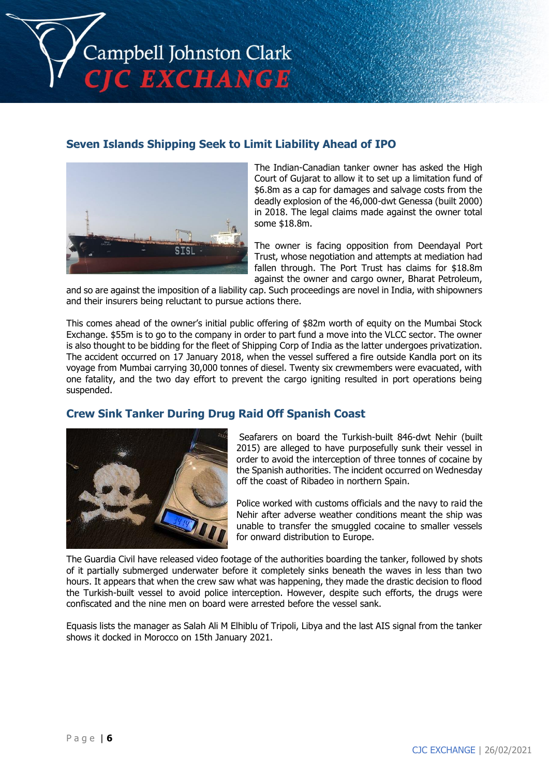

# **Seven Islands Shipping Seek to Limit Liability Ahead of IPO**



The Indian-Canadian tanker owner has asked the High Court of Gujarat to allow it to set up a limitation fund of \$6.8m as a cap for damages and salvage costs from the deadly explosion of the 46,000-dwt Genessa (built 2000) in 2018. The legal claims made against the owner total some \$18.8m.

The owner is facing opposition from Deendayal Port Trust, whose negotiation and attempts at mediation had fallen through. The Port Trust has claims for \$18.8m against the owner and cargo owner, Bharat Petroleum,

and so are against the imposition of a liability cap. Such proceedings are novel in India, with shipowners and their insurers being reluctant to pursue actions there.

This comes ahead of the owner's initial public offering of \$82m worth of equity on the Mumbai Stock Exchange. \$55m is to go to the company in order to part fund a move into the VLCC sector. The owner is also thought to be bidding for the fleet of Shipping Corp of India as the latter undergoes privatization. The accident occurred on 17 January 2018, when the vessel suffered a fire outside Kandla port on its voyage from Mumbai carrying 30,000 tonnes of diesel. Twenty six crewmembers were evacuated, with one fatality, and the two day effort to prevent the cargo igniting resulted in port operations being suspended.

# **Crew Sink Tanker During Drug Raid Off Spanish Coast**



Seafarers on board the Turkish-built 846-dwt Nehir (built 2015) are alleged to have purposefully sunk their vessel in order to avoid the interception of three tonnes of cocaine by the Spanish authorities. The incident occurred on Wednesday off the coast of Ribadeo in northern Spain.

Police worked with customs officials and the navy to raid the Nehir after adverse weather conditions meant the ship was unable to transfer the smuggled cocaine to smaller vessels for onward distribution to Europe.

The Guardia Civil have released video footage of the authorities boarding the tanker, followed by shots of it partially submerged underwater before it completely sinks beneath the waves in less than two hours. It appears that when the crew saw what was happening, they made the drastic decision to flood the Turkish-built vessel to avoid police interception. However, despite such efforts, the drugs were confiscated and the nine men on board were arrested before the vessel sank.

Equasis lists the manager as Salah Ali M Elhiblu of Tripoli, Libya and the last AIS signal from the tanker shows it docked in Morocco on 15th January 2021.